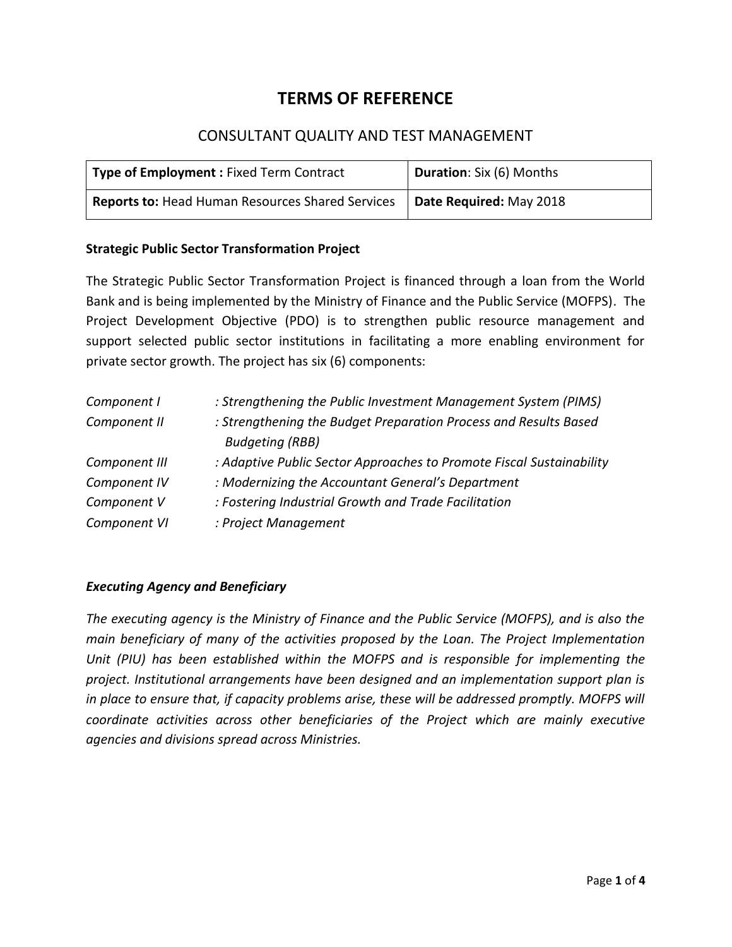# **TERMS OF REFERENCE**

## CONSULTANT QUALITY AND TEST MANAGEMENT

| Type of Employment: Fixed Term Contract          | Duration: Six (6) Months |
|--------------------------------------------------|--------------------------|
| Reports to: Head Human Resources Shared Services | Date Required: May 2018  |

#### **Strategic Public Sector Transformation Project**

The Strategic Public Sector Transformation Project is financed through a loan from the World Bank and is being implemented by the Ministry of Finance and the Public Service (MOFPS). The Project Development Objective (PDO) is to strengthen public resource management and support selected public sector institutions in facilitating a more enabling environment for private sector growth. The project has six (6) components:

| Component I   | : Strengthening the Public Investment Management System (PIMS)       |
|---------------|----------------------------------------------------------------------|
| Component II  | : Strengthening the Budget Preparation Process and Results Based     |
|               | <b>Budgeting (RBB)</b>                                               |
| Component III | : Adaptive Public Sector Approaches to Promote Fiscal Sustainability |
| Component IV  | : Modernizing the Accountant General's Department                    |
| Component V   | : Fostering Industrial Growth and Trade Facilitation                 |
| Component VI  | : Project Management                                                 |

## *Executing Agency and Beneficiary*

*The executing agency is the Ministry of Finance and the Public Service (MOFPS), and is also the main beneficiary of many of the activities proposed by the Loan. The Project Implementation Unit (PIU) has been established within the MOFPS and is responsible for implementing the project. Institutional arrangements have been designed and an implementation support plan is* in place to ensure that, if capacity problems arise, these will be addressed promptly. MOFPS will *coordinate activities across other beneficiaries of the Project which are mainly executive agencies and divisions spread across Ministries.*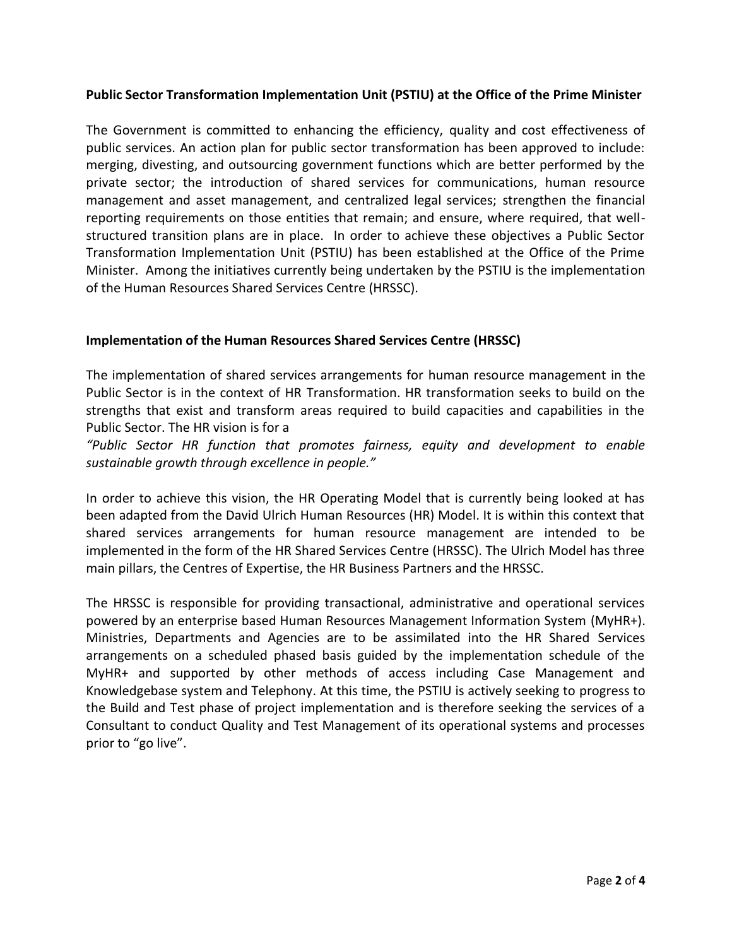### **Public Sector Transformation Implementation Unit (PSTIU) at the Office of the Prime Minister**

The Government is committed to enhancing the efficiency, quality and cost effectiveness of public services. An action plan for public sector transformation has been approved to include: merging, divesting, and outsourcing government functions which are better performed by the private sector; the introduction of shared services for communications, human resource management and asset management, and centralized legal services; strengthen the financial reporting requirements on those entities that remain; and ensure, where required, that well structured transition plans are in place. In order to achieve these objectives a Public Sector Transformation Implementation Unit (PSTIU) has been established at the Office of the Prime Minister. Among the initiatives currently being undertaken by the PSTIU is the implementation of the Human Resources Shared Services Centre (HRSSC).

#### **Implementation of the Human Resources Shared Services Centre (HRSSC)**

The implementation of shared services arrangements for human resource management in the Public Sector is in the context of HR Transformation. HR transformation seeks to build on the strengths that exist and transform areas required to build capacities and capabilities in the Public Sector. The HR vision is for a

*"Public Sector HR function that promotes fairness, equity and development to enable sustainable growth through excellence in people."*

In order to achieve this vision, the HR Operating Model that is currently being looked at has been adapted from the David Ulrich Human Resources (HR) Model. It is within this context that shared services arrangements for human resource management are intended to be implemented in the form of the HR Shared Services Centre (HRSSC). The Ulrich Model has three main pillars, the Centres of Expertise, the HR Business Partners and the HRSSC.

The HRSSC is responsible for providing transactional, administrative and operational services powered by an enterprise based Human Resources Management Information System (MyHR+). Ministries, Departments and Agencies are to be assimilated into the HR Shared Services arrangements on a scheduled phased basis guided by the implementation schedule of the MyHR+ and supported by other methods of access including Case Management and Knowledgebase system and Telephony. At this time, the PSTIU is actively seeking to progress to the Build and Test phase of project implementation and is therefore seeking the services of a Consultant to conduct Quality and Test Management of its operational systems and processes prior to "go live".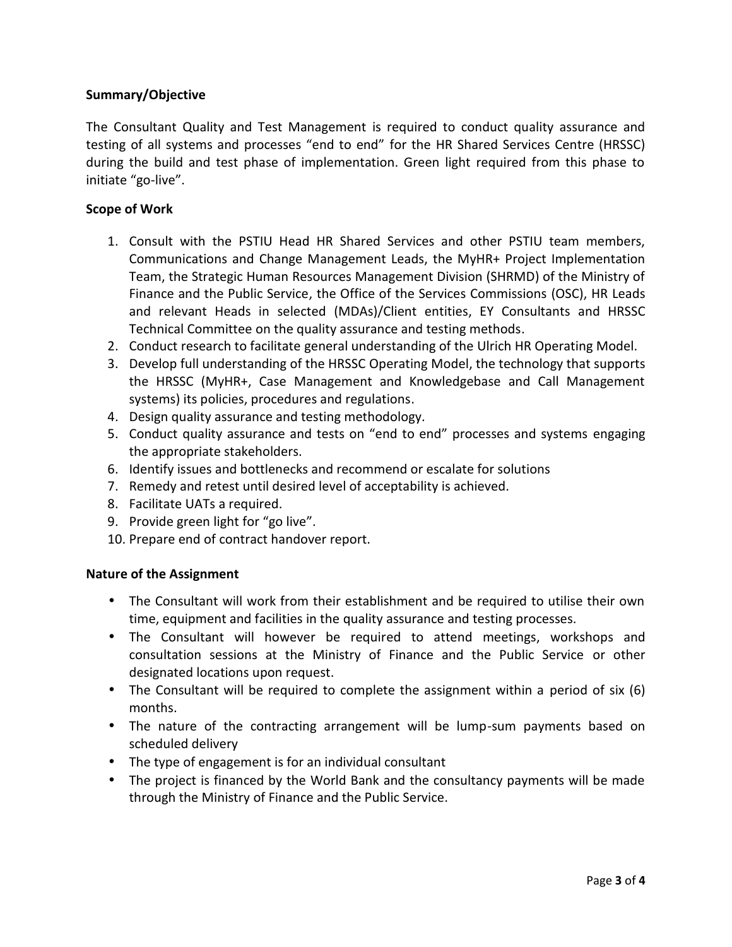## **Summary/Objective**

The Consultant Quality and Test Management is required to conduct quality assurance and testing of all systems and processes "end to end" for the HR Shared Services Centre (HRSSC) during the build and test phase of implementation. Green light required from this phase to initiate "go-live".

#### **Scope of Work**

- 1. Consult with the PSTIU Head HR Shared Services and other PSTIU team members, Communications and Change Management Leads, the MyHR+ Project Implementation Team, the Strategic Human Resources Management Division (SHRMD) of the Ministry of Finance and the Public Service, the Office of the Services Commissions (OSC), HR Leads and relevant Heads in selected (MDAs)/Client entities, EY Consultants and HRSSC Technical Committee on the quality assurance and testing methods.
- 2. Conduct research to facilitate general understanding of the Ulrich HR Operating Model.
- 3. Develop full understanding of the HRSSC Operating Model, the technology that supports the HRSSC (MyHR+, Case Management and Knowledgebase and Call Management systems) its policies, procedures and regulations.
- 4. Design quality assurance and testing methodology.
- 5. Conduct quality assurance and tests on "end to end" processes and systems engaging the appropriate stakeholders.
- 6. Identify issues and bottlenecks and recommend or escalate for solutions
- 7. Remedy and retest until desired level of acceptability is achieved.
- 8. Facilitate UATs a required.
- 9. Provide green light for "go live".
- 10. Prepare end of contract handover report.

#### **Nature of the Assignment**

- The Consultant will work from their establishment and be required to utilise their own time, equipment and facilities in the quality assurance and testing processes.
- The Consultant will however be required to attend meetings, workshops and consultation sessions at the Ministry of Finance and the Public Service or other designated locations upon request.
- The Consultant will be required to complete the assignment within a period of six (6) months.
- The nature of the contracting arrangement will be lump-sum payments based on scheduled delivery
- The type of engagement is for an individual consultant
- The project is financed by the World Bank and the consultancy payments will be made through the Ministry of Finance and the Public Service.